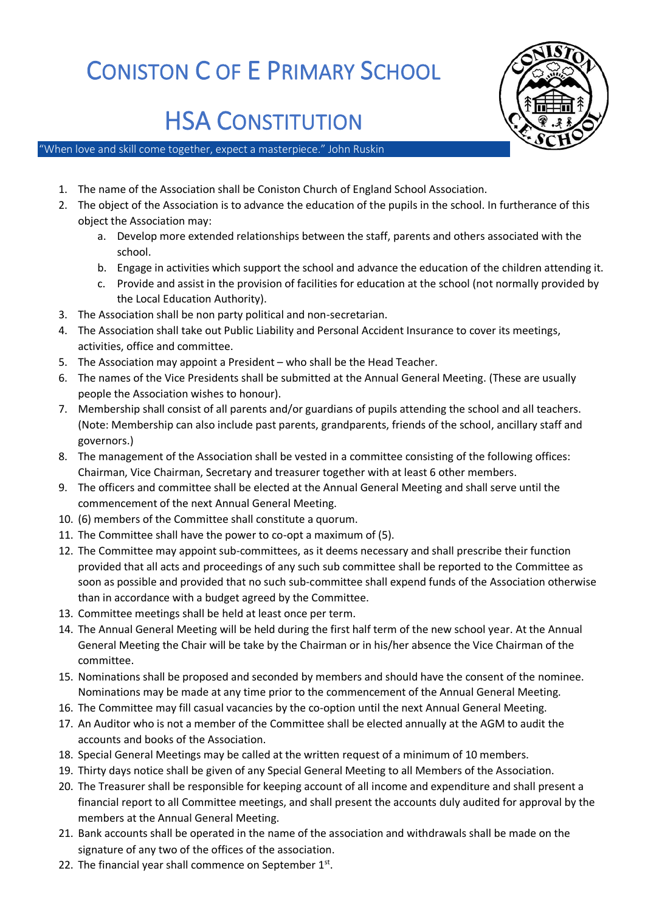## CONISTON C OF E PRIMARY SCHOOL



## HSA CONSTITUTION

"When love and skill come together, expect a masterpiece." John Ruskin

- 1. The name of the Association shall be Coniston Church of England School Association.
- 2. The object of the Association is to advance the education of the pupils in the school. In furtherance of this object the Association may:
	- a. Develop more extended relationships between the staff, parents and others associated with the school.
	- b. Engage in activities which support the school and advance the education of the children attending it.
	- c. Provide and assist in the provision of facilities for education at the school (not normally provided by the Local Education Authority).
- 3. The Association shall be non party political and non-secretarian.
- 4. The Association shall take out Public Liability and Personal Accident Insurance to cover its meetings, activities, office and committee.
- 5. The Association may appoint a President who shall be the Head Teacher.
- 6. The names of the Vice Presidents shall be submitted at the Annual General Meeting. (These are usually people the Association wishes to honour).
- 7. Membership shall consist of all parents and/or guardians of pupils attending the school and all teachers. (Note: Membership can also include past parents, grandparents, friends of the school, ancillary staff and governors.)
- 8. The management of the Association shall be vested in a committee consisting of the following offices: Chairman, Vice Chairman, Secretary and treasurer together with at least 6 other members.
- 9. The officers and committee shall be elected at the Annual General Meeting and shall serve until the commencement of the next Annual General Meeting.
- 10. (6) members of the Committee shall constitute a quorum.
- 11. The Committee shall have the power to co-opt a maximum of (5).
- 12. The Committee may appoint sub-committees, as it deems necessary and shall prescribe their function provided that all acts and proceedings of any such sub committee shall be reported to the Committee as soon as possible and provided that no such sub-committee shall expend funds of the Association otherwise than in accordance with a budget agreed by the Committee.
- 13. Committee meetings shall be held at least once per term.
- 14. The Annual General Meeting will be held during the first half term of the new school year. At the Annual General Meeting the Chair will be take by the Chairman or in his/her absence the Vice Chairman of the committee.
- 15. Nominations shall be proposed and seconded by members and should have the consent of the nominee. Nominations may be made at any time prior to the commencement of the Annual General Meeting.
- 16. The Committee may fill casual vacancies by the co-option until the next Annual General Meeting.
- 17. An Auditor who is not a member of the Committee shall be elected annually at the AGM to audit the accounts and books of the Association.
- 18. Special General Meetings may be called at the written request of a minimum of 10 members.
- 19. Thirty days notice shall be given of any Special General Meeting to all Members of the Association.
- 20. The Treasurer shall be responsible for keeping account of all income and expenditure and shall present a financial report to all Committee meetings, and shall present the accounts duly audited for approval by the members at the Annual General Meeting.
- 21. Bank accounts shall be operated in the name of the association and withdrawals shall be made on the signature of any two of the offices of the association.
- 22. The financial year shall commence on September  $1<sup>st</sup>$ .